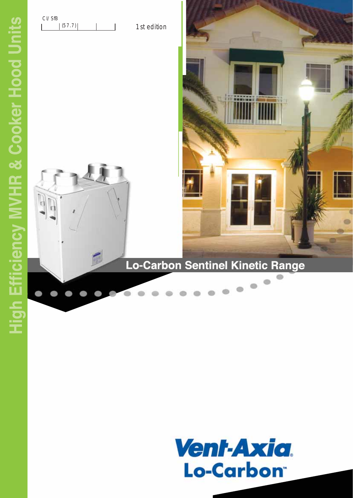$\sqrt{a}$ 



1st edition

## Lo-Carbon Sentinel Kinetic Range

ö

**SHAIR** 

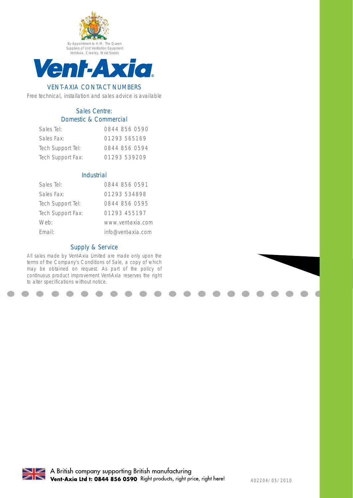



## VENT-AXIA CONTACT NUMBERS

Free technical, installation and sales advice is available

## Sales Centre: Domestic & Commercial

| Sales Tel:        | 0844 856 0590 |
|-------------------|---------------|
| Sales Fax:        | 01293565169   |
| Tech Support Tel: | 0844 856 0594 |
| Tech Support Fax: | 01293 539209  |

## Industrial

| Sales Tel:        | 0844 856 0591      |
|-------------------|--------------------|
| Sales Fax:        | 01293 534898       |
| Tech Support Tel: | 0844 856 0595      |
| Tech Support Fax: | 01293 455197       |
| Web:              | www.vent-axia.com  |
| Fmail:            | info@vent-axia.com |

## Supply & Service

All sales made by Vent-Axia Limited are made only upon the terms of the Company's Conditions of Sale, a copy of which may be obtained on request. As part of the policy of continuous product improvement Vent-Axia reserves the right to alter specifications without notice.

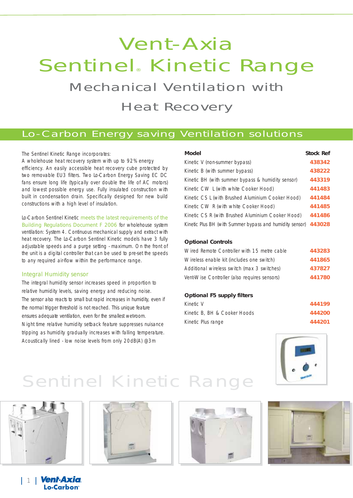# Vent-Axia Sentinel® Kinetic Range Mechanical Ventilation with

Heat Recovery

## Lo-Carbon Energy saving Ventilation solutions

## The Sentinel Kinetic Range incorporates:

A wholehouse heat recovery system with up to 92% energy efficiency. An easily accessible heat recovery cube protected by two removable EU3 filters. Two Lo-Carbon Energy Saving EC DC fans ensure long life (typically over double the life of AC motors) and lowest possible energy use. Fully insulated construction with built in condensation drain. Specifically designed for new build constructions with a high level of insulation.

Lo-Carbon Sentinel Kinetic meets the latest requirements of the Building Regulations Document F 2006 for wholehouse system ventilation: System 4. Continuous mechanical supply and extract with heat recovery. The Lo-Carbon Sentinel Kinetic models have 3 fully adjustable speeds and a purge setting - maximum. On the front of the unit is a digital controller that can be used to pre-set the speeds to any required air-flow within the performance range.

## Integral Humidity sensor

The integral humidity sensor increases speed in proportion to relative humidity levels, saving energy and reducing noise. The sensor also reacts to small but rapid increases in humidity, even if the normal trigger threshold is not reached. This unique feature ensures adequate ventilation, even for the smallest wet-room. Night time relative humidity setback feature suppresses nuisance tripping as humidity gradually increases with falling temperature. Acoustically lined - low noise levels from only 20dB(A) @3m

#### **Model Stock Ref**

| Kinetic V (non-summer bypass)                            | 438342 |
|----------------------------------------------------------|--------|
| Kinetic B (with summer bypass)                           | 438222 |
| Kinetic BH (with summer bypass & humidity sensor)        | 443319 |
| Kinetic CW L (with white Cooker Hood)                    | 441483 |
| Kinetic CS L (with Brushed Aluminium Cooker Hood)        | 441484 |
| Kinetic CW R (with white Cooker Hood)                    | 441485 |
| Kinetic CS R (with Brushed Aluminium Cooker Hood)        | 441486 |
| Kinetic Plus BH (with Summer bypass and humidity sensor) | 443028 |

### **Optional Controls**

| Wired Remote Controller with 15 metre cable  | 443283 |
|----------------------------------------------|--------|
| Wireless enable kit (includes one switch)    | 441865 |
| Additional wireless switch (max 3 switches)  | 437827 |
| Vent-Wise Controller (also requires sensors) | 441780 |

### **Optional F5 supply filters**

| Kinetic V                    | 444199 |
|------------------------------|--------|
| Kinetic B, BH & Cooker Hoods | 444200 |
| Kinetic Plus range           | 444201 |



# Sentinel Kinetic Range



1 1 **Vent-Axia** 

Lo-Carbon<sup>®</sup>





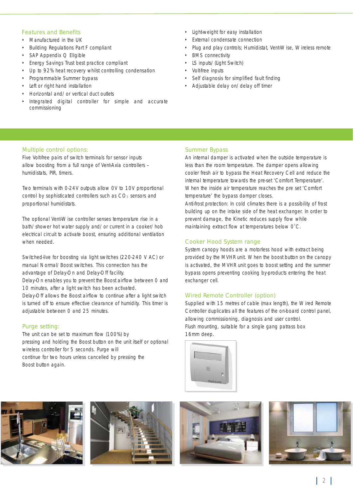## Features and Benefits

- Manufactured in the UK
- Building Regulations Part F compliant
- SAP Appendix Q Eligible
- Energy Savings Trust best practice compliant
- Up to 92% heat recovery whilst controlling condensation
- Programmable Summer bypass
- Left or right hand installation
- Horizontal and/or vertical duct outlets
- Integrated digital controller for simple and accurate commissioning
- Light-weight for easy installation
- External condensate connection
- Plug and play controls; Humidistat, Vent-Wise, Wireless remote
- **BMS** connectivity
- LS inputs/(Light Switch)
- Volt-free inputs
- Self diagnosis for simplified fault finding
- Adjustable delay on/delay off timer

### Multiple control options:

Five Volt-free pairs of switch terminals for sensor inputs allow boosting from a full range of Vent-Axia controllers – humidistats, PIR, timers.

Two terminals with 0-24V outputs allow 0V to 10V proportional control by sophisticated controllers such as CO<sub>2</sub> sensors and proportional humidistats.

The optional Vent-Wise controller senses temperature rise in a bath/shower hot water supply and/or current in a cooker/hob electrical circuit to activate boost, ensuring additional ventilation when needed.

Switched-live for boosting via light switches (220-240 V AC) or manual Normal/Boost switches. This connection has the advantage of Delay-On and Delay-Off facility.

Delay-On enables you to prevent the Boost airflow between 0 and 10 minutes, after a light switch has been activated.

Delay-Off allows the Boost airflow to continue after a light switch is turned off to ensure effective clearance of humidity. This timer is adjustable between 0 and 25 minutes.

## Purge setting:

The unit can be set to maximum flow (100%) by pressing and holding the Boost button on the unit itself or optional wireless controller for 5 seconds. Purge will continue for two hours unless cancelled by pressing the Boost button again.

## Summer Bypass

An internal damper is activated when the outside temperature is less than the room temperature. The damper opens allowing cooler fresh air to bypass the Heat Recovery Cell and reduce the internal temperature towards the pre-set 'Comfort Temperature'. When the inside air temperature reaches the pre set 'Comfort temperature' the bypass damper closes.

Anti-frost protection: In cold climates there is a possibility of frost building up on the intake side of the heat exchanger. In order to prevent damage, the Kinetic reduces supply flow while maintaining extract flow at temperatures below  $O^{\circ}C$ .

### Cooker Hood System range

System canopy hoods are a motorless hood with extract being provided by the MVHR unit. When the boost button on the canopy is activated, the MVHR unit goes to boost setting and the summer bypass opens preventing cooking by-products entering the heat exchanger cell.

### Wired Remote Controller (option)

Supplied with 15 metres of cable (max length), the Wired Remote Controller duplicates all the features of the on-board control panel, allowing commissioning, diagnosis and user control. Flush mounting, suitable for a single gang patrass box 16mm deep.









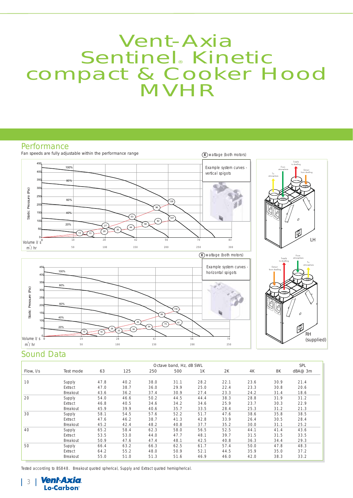# Vent-Axia Sentinel Kinetic compact & Cooker Hood **MVHR**

## **Performance**



## Sound Data

|           | Octave band, Hz, dB SWL |      |      |      |      |      |      | SPL  |      |         |
|-----------|-------------------------|------|------|------|------|------|------|------|------|---------|
| Flow, I/s | Test mode               | 63   | 125  | 250  | 500  | 1K   | 2K   | 4K   | 8K   | dBA@ 3m |
|           |                         |      |      |      |      |      |      |      |      |         |
| 10        | Supply                  | 47.8 | 40.2 | 38.0 | 31.1 | 28.2 | 22.1 | 23.6 | 30.9 | 21.4    |
|           | Extract                 | 47.0 | 38.7 | 36.0 | 29.9 | 25.0 | 22.4 | 23.3 | 30.8 | 20.6    |
|           | <b>Breakout</b>         | 43.6 | 36.2 | 37.4 | 30.9 | 27.4 | 23.3 | 24.2 | 31.4 | 18.6    |
| 20        | Supply                  | 54.0 | 46.6 | 50.2 | 44.5 | 44.4 | 38.3 | 28.8 | 31.9 | 31.2    |
|           | Extract                 | 46.8 | 40.5 | 34.6 | 34.2 | 34.6 | 25.9 | 23.7 | 30.3 | 22.9    |
|           | <b>Breakout</b>         | 45.9 | 39.9 | 40.6 | 35.7 | 33.5 | 28.4 | 25.3 | 31.2 | 21.3    |
| 30        | Supply                  | 58.1 | 54.5 | 57.6 | 52.2 | 51.7 | 47.6 | 38.6 | 35.8 | 38.5    |
|           | Extract                 | 47.6 | 46.2 | 38.7 | 41.3 | 42.8 | 33.9 | 26.4 | 30.5 | 28.4    |
|           | <b>Breakout</b>         | 45.2 | 42.4 | 48.2 | 40.8 | 37.7 | 35.2 | 30.0 | 31.1 | 25.2    |
| 40        | Supply                  | 65.2 | 58.4 | 62.3 | 58.0 | 56.5 | 52.5 | 44.1 | 41.4 | 43.6    |
|           | Extract                 | 53.5 | 53.0 | 44.0 | 47.7 | 48.1 | 39.7 | 31.5 | 31.5 | 33.5    |
|           | <b>Breakout</b>         | 50.9 | 47.6 | 47.4 | 48.1 | 42.5 | 40.8 | 36.3 | 34.4 | 29.3    |
| 50        | Supply                  | 66.4 | 63.2 | 66.3 | 62.5 | 61.7 | 57.4 | 50.0 | 47.8 | 48.3    |
|           | Extract                 | 64.2 | 55.2 | 48.0 | 50.9 | 52.1 | 44.5 | 35.9 | 35.0 | 37.2    |
|           | <b>Breakout</b>         | 55.0 | 51.0 | 51.3 | 51.6 | 46.9 | 46.0 | 42.0 | 38.3 | 33.2    |

Tested according to BS848. Breakout quoted spherical, Supply and Extract quoted hemispherical.

**Vent-Axia** 3 Lo-Carbon<sup>®</sup>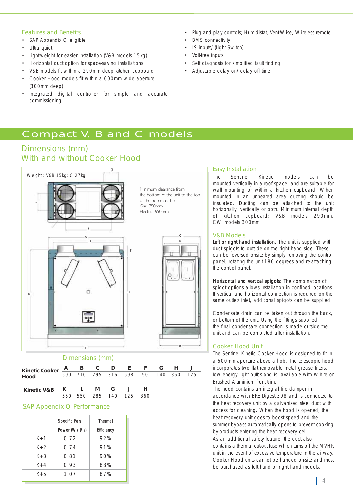### Features and Benefits

- SAP Appendix Q eligible
- Ultra quiet
- Light-weight for easier installation (V&B models 15kg)
- Horizontal duct option for space-saving installations
- V&B models fit within a 290mm deep kitchen cupboard
- Cooker Hood models fit within a 600mm wide aperture (300mm deep)
- Integrated digital controller for simple and accurate commissioning
- Plug and play controls; Humidistat, Vent-Wise, Wireless remote
- **BMS** connectivity
- LS inputs/(Light Switch)
- Volt-free inputs
- Self diagnosis for simplified fault finding
- Adjustable delay on/delay off timer

## Compact V, B and C models

## Dimensions (mm) With and without Cooker Hood



#### **A B C D E F GH J** 590 710 295 316 598 90 140 360 125 **K L MG J H** 550 550 285 140 125 360 **Kinetic V&B Kinetic Cooker Hood**

#### $\overline{\phantom{a}}$ SAP Appendix Q Performance

|       | Specific Fan  | Thermal           |
|-------|---------------|-------------------|
|       | Power (W/I/s) | <b>Efficiency</b> |
| $K+1$ | 0.72          | 92%               |
| $K+2$ | 0.74          | 91%               |
| $K+3$ | 0.81          | 90%               |
| $K+4$ | 0.93          | 88%               |
| $K+5$ | 1.07          | 87%               |

## Easy Installation

The Sentinel Kinetic models can be mounted vertically in a roof space, and are suitable for wall mounting or within a kitchen cupboard. When mounted in an unheated area ducting should be insulated. Ducting can be attached to the unit horizonally, vertically or both. Minimum internal depth of kitchen cupboard: V&B models 290mm. CW models 300mm

### V&B Models

Left or right hand installation. The unit is supplied with duct spigots to outside on the right hand side. These can be reversed onsite by simply removing the control panel, rotating the unit 180 degrees and re-attaching the control panel.

Horizontal and vertical spigots: The combination of spigot options allows installation in confined locations. If vertical and horizontal connection is required on the same outlet/inlet, additional spigots can be supplied.

Condensate drain can be taken out through the back, or bottom of the unit. Using the fittings supplied, the final condensate connection is made outside the unit and can be completed after installation.

## Cooker Hood Unit

The Sentinel Kinetic Cooker Hood is designed to fit in a 600mm aperture above a hob. The telescopic hood incorporates two flat removable metal grease filters, low energy light bulbs and is available with White or Brushed Aluminium front trim.

The hood contains an integral fire damper in accordance with BRE Digest 398 and is connected to the heat recovery unit by a galvanised steel duct with access for cleaning. When the hood is opened, the heat recovery unit goes to boost speed and the summer bypass automatically opens to prevent cooking by-products entering the heat recovery cell. As an additional safety feature, the duct also contains a thermal cut-out fuse which turns off the MVHR unit in the event of excessive temperature in the airway. Cooker Hood units cannot be handed on-site and must be purchased as left hand or right hand models.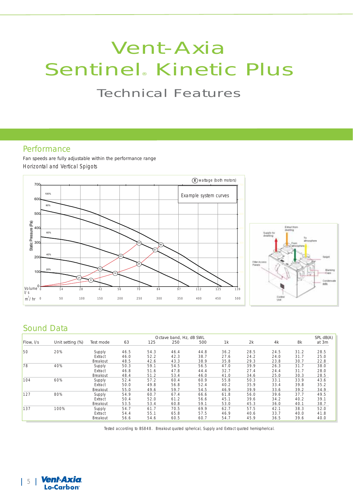# Vent-Axia Sentinel® Kinetic Plus Technical Features

## **Performance**

Fan speeds are fully adjustable within the performance range Horizontal and Vertical Spigots



## Sound Data

|           |                  | Octave band, Hz, dB SWL |      |      |      |      |      | SPL dB(A) |      |      |       |
|-----------|------------------|-------------------------|------|------|------|------|------|-----------|------|------|-------|
| Flow, I/s | Unit setting (%) | Test mode               | 63   | 125  | 250  | 500  | 1k   | 2k        | 4k   | 8k   | at 3m |
| 50        | 20%              | Supply                  | 46.5 | 54.3 | 46.4 | 44.8 | 36.2 | 28.5      | 24.5 | 31.2 | 28.5  |
|           |                  | Extract                 | 46.0 | 52.2 | 42.3 | 38.7 | 27.6 | 24.2      | 24.0 | 31.7 | 25.0  |
|           |                  | Breakout                | 48.5 | 42.6 | 43.3 | 38.9 | 35.8 | 29.3      | 23.8 | 30.7 | 22.8  |
| 78        | 40%              | Supply                  | 50.3 | 59.1 | 54.5 | 56.5 | 47.0 | 39.9      | 26.3 | 31.7 | 38.0  |
|           |                  | Extract                 | 46.8 | 51.6 | 47.8 | 44.4 | 32.7 | 27.4      | 24.4 | 31.7 | 28.0  |
|           |                  | Breakout                | 48.4 | 51.2 | 53.4 | 46.0 | 41.0 | 34.6      | 25.0 | 30.3 | 28.5  |
| 104       | 60%              | Supply                  | 52.4 | 57.2 | 60.4 | 60.9 | 55.8 | 50.3      | 33.1 | 33.9 | 43.6  |
|           |                  | Extract                 | 50.0 | 49.8 | 56.8 | 52.4 | 40.2 | 35.9      | 33.4 | 39.8 | 35.2  |
|           |                  | Breakout                | 55.0 | 49.6 | 59.7 | 54.5 | 46.9 | 39.9      | 33.6 | 39.2 | 34.9  |
| 127       | 80%              | Supply                  | 54.9 | 60.7 | 67.4 | 66.6 | 61.8 | 56.0      | 39.6 | 37.7 | 49.5  |
|           |                  | Extract                 | 50.4 | 52.0 | 61.2 | 56.6 | 45.1 | 39.6      | 34.2 | 40.2 | 39.1  |
|           |                  | Breakout                | 53.5 | 53.4 | 60.8 | 59.1 | 53.0 | 45.3      | 36.0 | 40.1 | 38.7  |
| 137       | 100%             | Supply                  | 54.7 | 61.7 | 70.5 | 69.9 | 62.7 | 57.5      | 42.1 | 38.3 | 52.0  |
|           |                  | Extract                 | 54.4 | 55.1 | 65.8 | 57.5 | 46.9 | 40.6      | 33.7 | 40.0 | 41.8  |
|           |                  | Breakout                | 56.6 | 54.6 | 60.5 | 60.7 | 54.7 | 45.9      | 36.5 | 39.6 | 40.0  |

Tested according to BS848. Breakout quoted spherical, Supply and Extract quoted hemispherical.